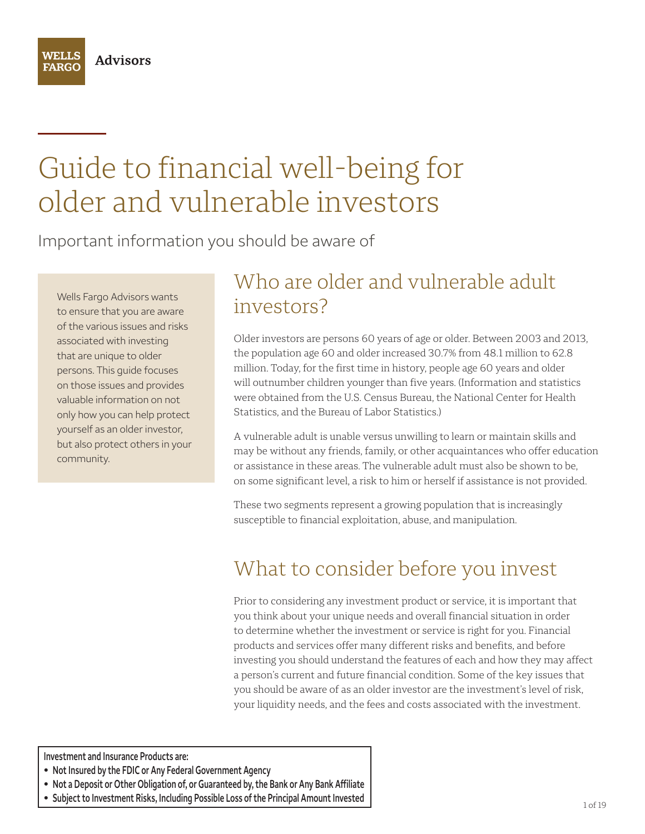

# Guide to financial well-being for older and vulnerable investors

Important information you should be aware of

Wells Fargo Advisors wants to ensure that you are aware of the various issues and risks associated with investing that are unique to older persons. This guide focuses on those issues and provides valuable information on not only how you can help protect yourself as an older investor, but also protect others in your community.

# Who are older and vulnerable adult investors?

Older investors are persons 60 years of age or older. Between 2003 and 2013, the population age 60 and older increased 30.7% from 48.1 million to 62.8 million. Today, for the first time in history, people age 60 years and older will outnumber children younger than five years. (Information and statistics were obtained from the U.S. Census Bureau, the National Center for Health Statistics, and the Bureau of Labor Statistics.)

A vulnerable adult is unable versus unwilling to learn or maintain skills and may be without any friends, family, or other acquaintances who offer education or assistance in these areas. The vulnerable adult must also be shown to be, on some significant level, a risk to him or herself if assistance is not provided.

These two segments represent a growing population that is increasingly susceptible to financial exploitation, abuse, and manipulation.

# What to consider before you invest

Prior to considering any investment product or service, it is important that you think about your unique needs and overall financial situation in order to determine whether the investment or service is right for you. Financial products and services offer many different risks and benefits, and before investing you should understand the features of each and how they may affect a person's current and future financial condition. Some of the key issues that you should be aware of as an older investor are the investment's level of risk, your liquidity needs, and the fees and costs associated with the investment.

**Investment and Insurance Products are: • Not Insured by the FDIC or Any Federal Government Agency**

- **• Not a Deposit or Other Obligation of, or Guaranteed by, the Bank or Any Bank Affiliate**
- **• Subject to Investment Risks, Including Possible Loss of the Principal Amount Invested**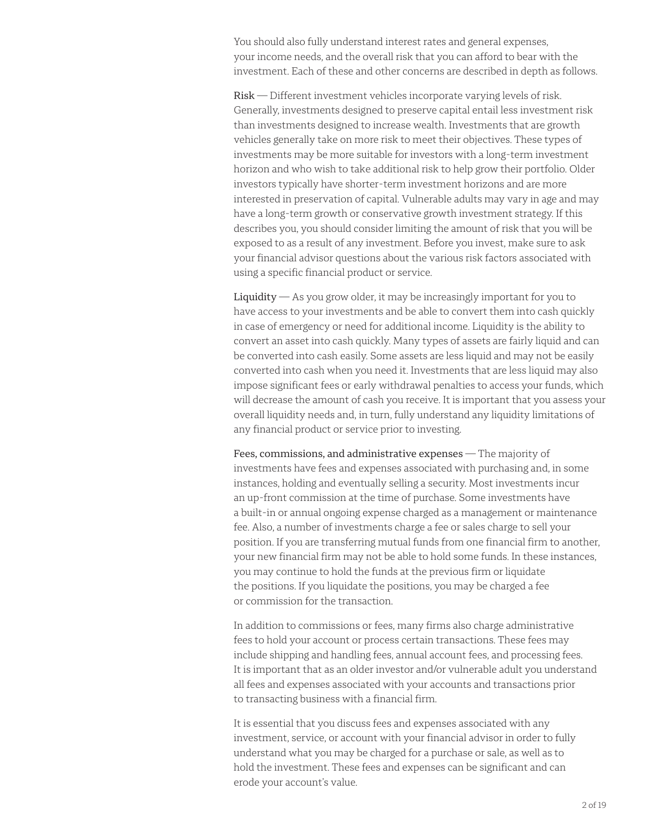You should also fully understand interest rates and general expenses, your income needs, and the overall risk that you can afford to bear with the investment. Each of these and other concerns are described in depth as follows.

Risk — Different investment vehicles incorporate varying levels of risk. Generally, investments designed to preserve capital entail less investment risk than investments designed to increase wealth. Investments that are growth vehicles generally take on more risk to meet their objectives. These types of investments may be more suitable for investors with a long-term investment horizon and who wish to take additional risk to help grow their portfolio. Older investors typically have shorter-term investment horizons and are more interested in preservation of capital. Vulnerable adults may vary in age and may have a long-term growth or conservative growth investment strategy. If this describes you, you should consider limiting the amount of risk that you will be exposed to as a result of any investment. Before you invest, make sure to ask your financial advisor questions about the various risk factors associated with using a specific financial product or service.

 $Liquidity - As$  you grow older, it may be increasingly important for you to have access to your investments and be able to convert them into cash quickly in case of emergency or need for additional income. Liquidity is the ability to convert an asset into cash quickly. Many types of assets are fairly liquid and can be converted into cash easily. Some assets are less liquid and may not be easily converted into cash when you need it. Investments that are less liquid may also impose significant fees or early withdrawal penalties to access your funds, which will decrease the amount of cash you receive. It is important that you assess your overall liquidity needs and, in turn, fully understand any liquidity limitations of any financial product or service prior to investing.

Fees, commissions, and administrative expenses — The majority of investments have fees and expenses associated with purchasing and, in some instances, holding and eventually selling a security. Most investments incur an up-front commission at the time of purchase. Some investments have a built-in or annual ongoing expense charged as a management or maintenance fee. Also, a number of investments charge a fee or sales charge to sell your position. If you are transferring mutual funds from one financial firm to another, your new financial firm may not be able to hold some funds. In these instances, you may continue to hold the funds at the previous firm or liquidate the positions. If you liquidate the positions, you may be charged a fee or commission for the transaction.

In addition to commissions or fees, many firms also charge administrative fees to hold your account or process certain transactions. These fees may include shipping and handling fees, annual account fees, and processing fees. It is important that as an older investor and/or vulnerable adult you understand all fees and expenses associated with your accounts and transactions prior to transacting business with a financial firm.

It is essential that you discuss fees and expenses associated with any investment, service, or account with your financial advisor in order to fully understand what you may be charged for a purchase or sale, as well as to hold the investment. These fees and expenses can be significant and can erode your account's value.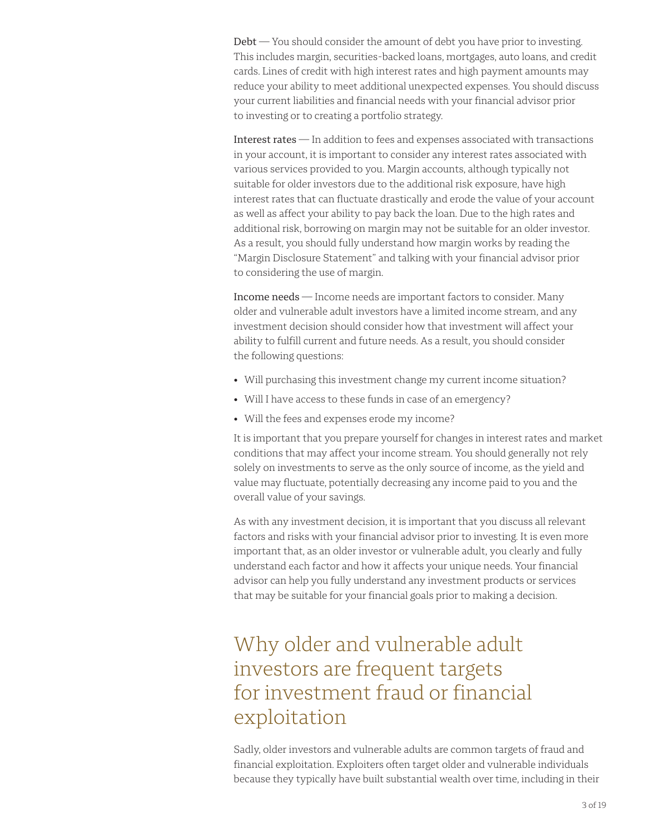Debt — You should consider the amount of debt you have prior to investing. This includes margin, securities-backed loans, mortgages, auto loans, and credit cards. Lines of credit with high interest rates and high payment amounts may reduce your ability to meet additional unexpected expenses. You should discuss your current liabilities and financial needs with your financial advisor prior to investing or to creating a portfolio strategy.

Interest rates — In addition to fees and expenses associated with transactions in your account, it is important to consider any interest rates associated with various services provided to you. Margin accounts, although typically not suitable for older investors due to the additional risk exposure, have high interest rates that can fluctuate drastically and erode the value of your account as well as affect your ability to pay back the loan. Due to the high rates and additional risk, borrowing on margin may not be suitable for an older investor. As a result, you should fully understand how margin works by reading the "Margin Disclosure Statement" and talking with your financial advisor prior to considering the use of margin.

Income needs — Income needs are important factors to consider. Many older and vulnerable adult investors have a limited income stream, and any investment decision should consider how that investment will affect your ability to fulfill current and future needs. As a result, you should consider the following questions:

- Will purchasing this investment change my current income situation?
- Will I have access to these funds in case of an emergency?
- Will the fees and expenses erode my income?

It is important that you prepare yourself for changes in interest rates and market conditions that may affect your income stream. You should generally not rely solely on investments to serve as the only source of income, as the yield and value may fluctuate, potentially decreasing any income paid to you and the overall value of your savings.

As with any investment decision, it is important that you discuss all relevant factors and risks with your financial advisor prior to investing. It is even more important that, as an older investor or vulnerable adult, you clearly and fully understand each factor and how it affects your unique needs. Your financial advisor can help you fully understand any investment products or services that may be suitable for your financial goals prior to making a decision.

# Why older and vulnerable adult investors are frequent targets for investment fraud or financial exploitation

Sadly, older investors and vulnerable adults are common targets of fraud and financial exploitation. Exploiters often target older and vulnerable individuals because they typically have built substantial wealth over time, including in their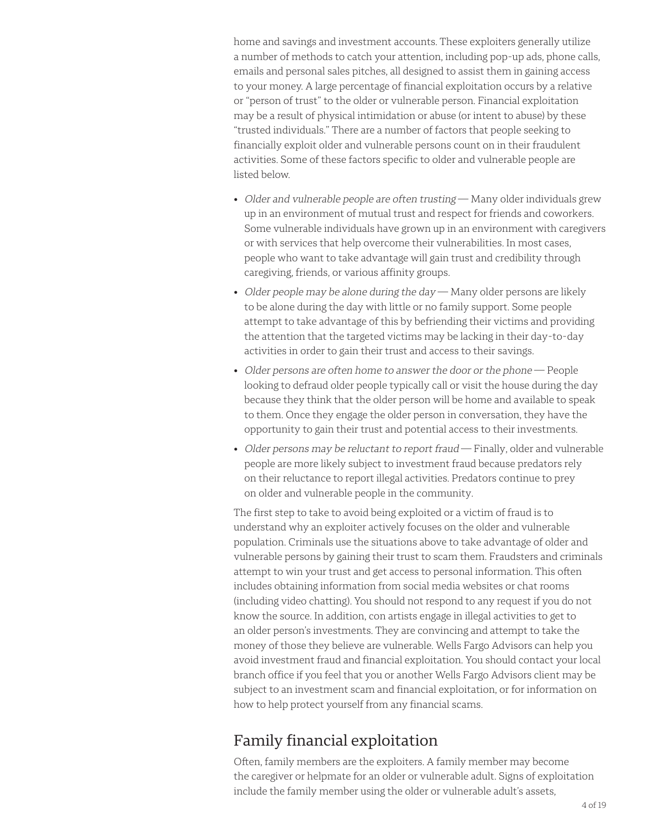home and savings and investment accounts. These exploiters generally utilize a number of methods to catch your attention, including pop-up ads, phone calls, emails and personal sales pitches, all designed to assist them in gaining access to your money. A large percentage of financial exploitation occurs by a relative or "person of trust" to the older or vulnerable person. Financial exploitation may be a result of physical intimidation or abuse (or intent to abuse) by these "trusted individuals." There are a number of factors that people seeking to financially exploit older and vulnerable persons count on in their fraudulent activities. Some of these factors specific to older and vulnerable people are listed below.

- Older and vulnerable people are often trusting Many older individuals grew up in an environment of mutual trust and respect for friends and coworkers. Some vulnerable individuals have grown up in an environment with caregivers or with services that help overcome their vulnerabilities. In most cases, people who want to take advantage will gain trust and credibility through caregiving, friends, or various affinity groups.
- Older people may be alone during the day  $-$  Many older persons are likely to be alone during the day with little or no family support. Some people attempt to take advantage of this by befriending their victims and providing the attention that the targeted victims may be lacking in their day-to-day activities in order to gain their trust and access to their savings.
- Older persons are often home to answer the door or the phone People looking to defraud older people typically call or visit the house during the day because they think that the older person will be home and available to speak to them. Once they engage the older person in conversation, they have the opportunity to gain their trust and potential access to their investments.
- Older persons may be reluctant to report fraud Finally, older and vulnerable people are more likely subject to investment fraud because predators rely on their reluctance to report illegal activities. Predators continue to prey on older and vulnerable people in the community.

The first step to take to avoid being exploited or a victim of fraud is to understand why an exploiter actively focuses on the older and vulnerable population. Criminals use the situations above to take advantage of older and vulnerable persons by gaining their trust to scam them. Fraudsters and criminals attempt to win your trust and get access to personal information. This often includes obtaining information from social media websites or chat rooms (including video chatting). You should not respond to any request if you do not know the source. In addition, con artists engage in illegal activities to get to an older person's investments. They are convincing and attempt to take the money of those they believe are vulnerable. Wells Fargo Advisors can help you avoid investment fraud and financial exploitation. You should contact your local branch office if you feel that you or another Wells Fargo Advisors client may be subject to an investment scam and financial exploitation, or for information on how to help protect yourself from any financial scams.

### Family financial exploitation

Often, family members are the exploiters. A family member may become the caregiver or helpmate for an older or vulnerable adult. Signs of exploitation include the family member using the older or vulnerable adult's assets,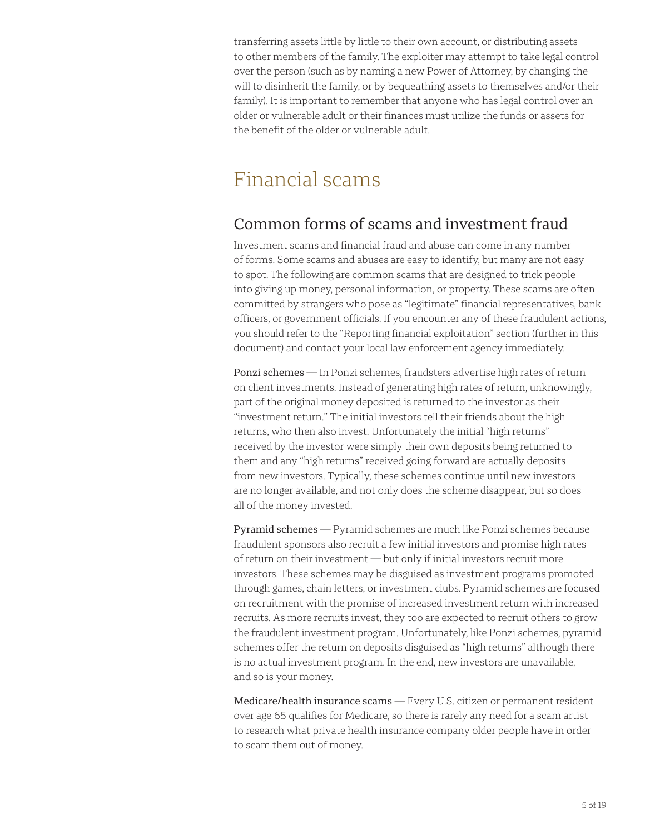transferring assets little by little to their own account, or distributing assets to other members of the family. The exploiter may attempt to take legal control over the person (such as by naming a new Power of Attorney, by changing the will to disinherit the family, or by bequeathing assets to themselves and/or their family). It is important to remember that anyone who has legal control over an older or vulnerable adult or their finances must utilize the funds or assets for the benefit of the older or vulnerable adult.

# Financial scams

### Common forms of scams and investment fraud

Investment scams and financial fraud and abuse can come in any number of forms. Some scams and abuses are easy to identify, but many are not easy to spot. The following are common scams that are designed to trick people into giving up money, personal information, or property. These scams are often committed by strangers who pose as "legitimate" financial representatives, bank officers, or government officials. If you encounter any of these fraudulent actions, you should refer to the "Reporting financial exploitation" section (further in this document) and contact your local law enforcement agency immediately.

Ponzi schemes — In Ponzi schemes, fraudsters advertise high rates of return on client investments. Instead of generating high rates of return, unknowingly, part of the original money deposited is returned to the investor as their "investment return." The initial investors tell their friends about the high returns, who then also invest. Unfortunately the initial "high returns" received by the investor were simply their own deposits being returned to them and any "high returns" received going forward are actually deposits from new investors. Typically, these schemes continue until new investors are no longer available, and not only does the scheme disappear, but so does all of the money invested.

Pyramid schemes — Pyramid schemes are much like Ponzi schemes because fraudulent sponsors also recruit a few initial investors and promise high rates of return on their investment — but only if initial investors recruit more investors. These schemes may be disguised as investment programs promoted through games, chain letters, or investment clubs. Pyramid schemes are focused on recruitment with the promise of increased investment return with increased recruits. As more recruits invest, they too are expected to recruit others to grow the fraudulent investment program. Unfortunately, like Ponzi schemes, pyramid schemes offer the return on deposits disguised as "high returns" although there is no actual investment program. In the end, new investors are unavailable, and so is your money.

Medicare/health insurance scams — Every U.S. citizen or permanent resident over age 65 qualifies for Medicare, so there is rarely any need for a scam artist to research what private health insurance company older people have in order to scam them out of money.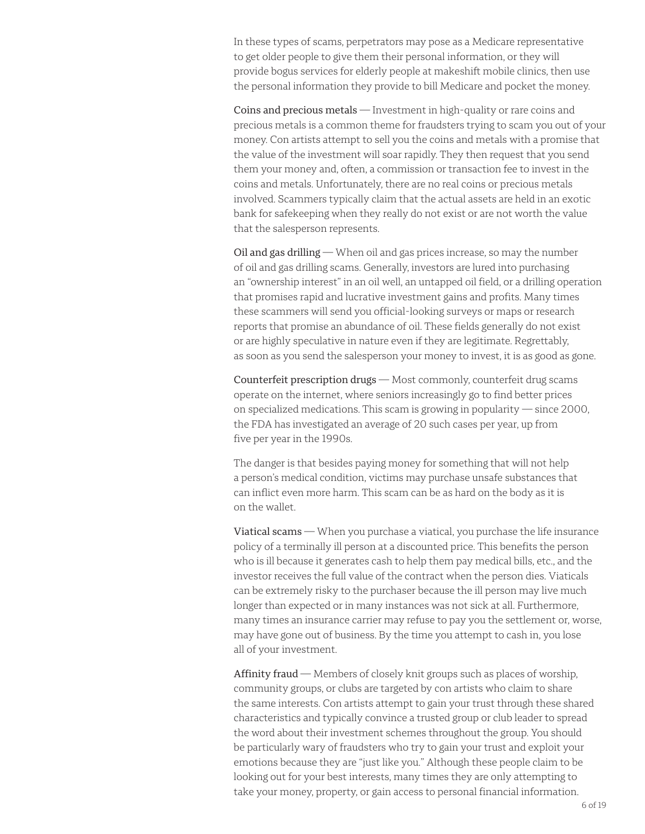In these types of scams, perpetrators may pose as a Medicare representative to get older people to give them their personal information, or they will provide bogus services for elderly people at makeshift mobile clinics, then use the personal information they provide to bill Medicare and pocket the money.

Coins and precious metals — Investment in high-quality or rare coins and precious metals is a common theme for fraudsters trying to scam you out of your money. Con artists attempt to sell you the coins and metals with a promise that the value of the investment will soar rapidly. They then request that you send them your money and, often, a commission or transaction fee to invest in the coins and metals. Unfortunately, there are no real coins or precious metals involved. Scammers typically claim that the actual assets are held in an exotic bank for safekeeping when they really do not exist or are not worth the value that the salesperson represents.

Oil and gas drilling — When oil and gas prices increase, so may the number of oil and gas drilling scams. Generally, investors are lured into purchasing an "ownership interest" in an oil well, an untapped oil field, or a drilling operation that promises rapid and lucrative investment gains and profits. Many times these scammers will send you official-looking surveys or maps or research reports that promise an abundance of oil. These fields generally do not exist or are highly speculative in nature even if they are legitimate. Regrettably, as soon as you send the salesperson your money to invest, it is as good as gone.

Counterfeit prescription drugs — Most commonly, counterfeit drug scams operate on the internet, where seniors increasingly go to find better prices on specialized medications. This scam is growing in popularity — since 2000, the FDA has investigated an average of 20 such cases per year, up from five per year in the 1990s.

The danger is that besides paying money for something that will not help a person's medical condition, victims may purchase unsafe substances that can inflict even more harm. This scam can be as hard on the body as it is on the wallet.

Viatical scams — When you purchase a viatical, you purchase the life insurance policy of a terminally ill person at a discounted price. This benefits the person who is ill because it generates cash to help them pay medical bills, etc., and the investor receives the full value of the contract when the person dies. Viaticals can be extremely risky to the purchaser because the ill person may live much longer than expected or in many instances was not sick at all. Furthermore, many times an insurance carrier may refuse to pay you the settlement or, worse, may have gone out of business. By the time you attempt to cash in, you lose all of your investment.

Affinity fraud — Members of closely knit groups such as places of worship, community groups, or clubs are targeted by con artists who claim to share the same interests. Con artists attempt to gain your trust through these shared characteristics and typically convince a trusted group or club leader to spread the word about their investment schemes throughout the group. You should be particularly wary of fraudsters who try to gain your trust and exploit your emotions because they are "just like you." Although these people claim to be looking out for your best interests, many times they are only attempting to take your money, property, or gain access to personal financial information.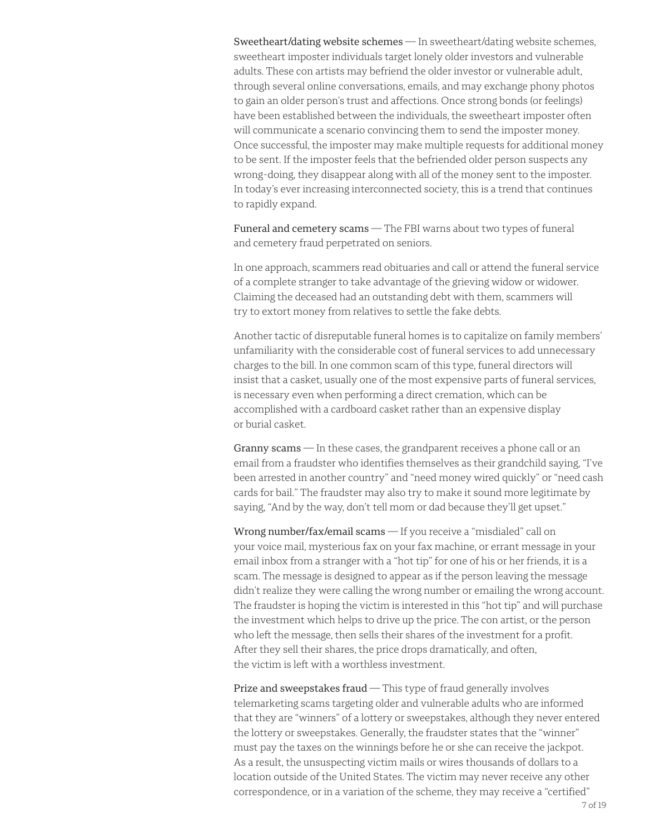Sweetheart/dating website schemes — In sweetheart/dating website schemes, sweetheart imposter individuals target lonely older investors and vulnerable adults. These con artists may befriend the older investor or vulnerable adult, through several online conversations, emails, and may exchange phony photos to gain an older person's trust and affections. Once strong bonds (or feelings) have been established between the individuals, the sweetheart imposter often will communicate a scenario convincing them to send the imposter money. Once successful, the imposter may make multiple requests for additional money to be sent. If the imposter feels that the befriended older person suspects any wrong-doing, they disappear along with all of the money sent to the imposter. In today's ever increasing interconnected society, this is a trend that continues to rapidly expand.

Funeral and cemetery scams — The FBI warns about two types of funeral and cemetery fraud perpetrated on seniors.

In one approach, scammers read obituaries and call or attend the funeral service of a complete stranger to take advantage of the grieving widow or widower. Claiming the deceased had an outstanding debt with them, scammers will try to extort money from relatives to settle the fake debts.

Another tactic of disreputable funeral homes is to capitalize on family members' unfamiliarity with the considerable cost of funeral services to add unnecessary charges to the bill. In one common scam of this type, funeral directors will insist that a casket, usually one of the most expensive parts of funeral services, is necessary even when performing a direct cremation, which can be accomplished with a cardboard casket rather than an expensive display or burial casket.

Granny scams — In these cases, the grandparent receives a phone call or an email from a fraudster who identifies themselves as their grandchild saying, "I've been arrested in another country" and "need money wired quickly" or "need cash cards for bail." The fraudster may also try to make it sound more legitimate by saying, "And by the way, don't tell mom or dad because they'll get upset."

Wrong number/fax/email scams - If you receive a "misdialed" call on your voice mail, mysterious fax on your fax machine, or errant message in your email inbox from a stranger with a "hot tip" for one of his or her friends, it is a scam. The message is designed to appear as if the person leaving the message didn't realize they were calling the wrong number or emailing the wrong account. The fraudster is hoping the victim is interested in this "hot tip" and will purchase the investment which helps to drive up the price. The con artist, or the person who left the message, then sells their shares of the investment for a profit. After they sell their shares, the price drops dramatically, and often, the victim is left with a worthless investment.

Prize and sweepstakes fraud – This type of fraud generally involves telemarketing scams targeting older and vulnerable adults who are informed that they are "winners" of a lottery or sweepstakes, although they never entered the lottery or sweepstakes. Generally, the fraudster states that the "winner" must pay the taxes on the winnings before he or she can receive the jackpot. As a result, the unsuspecting victim mails or wires thousands of dollars to a location outside of the United States. The victim may never receive any other correspondence, or in a variation of the scheme, they may receive a "certified"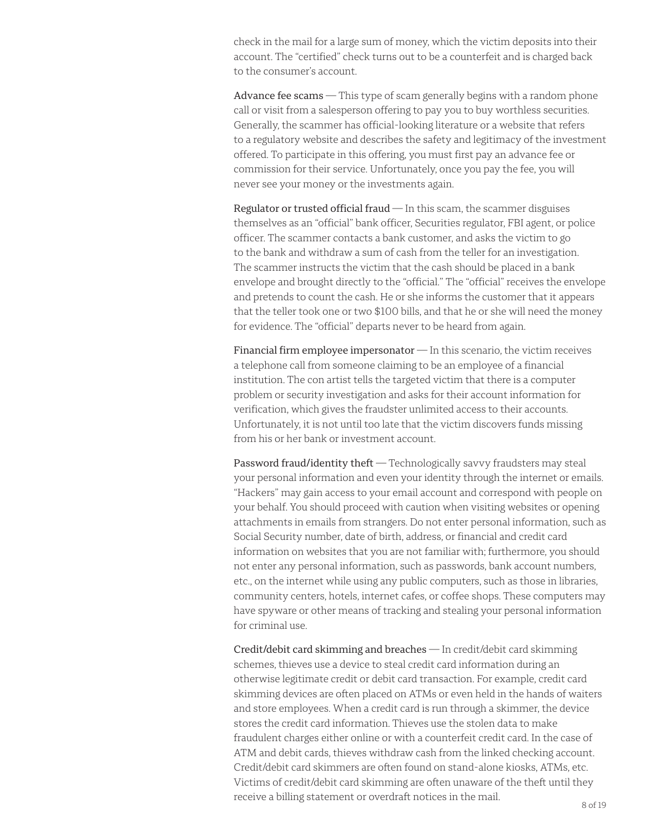check in the mail for a large sum of money, which the victim deposits into their account. The "certified" check turns out to be a counterfeit and is charged back to the consumer's account.

Advance fee scams – This type of scam generally begins with a random phone call or visit from a salesperson offering to pay you to buy worthless securities. Generally, the scammer has official-looking literature or a website that refers to a regulatory website and describes the safety and legitimacy of the investment offered. To participate in this offering, you must first pay an advance fee or commission for their service. Unfortunately, once you pay the fee, you will never see your money or the investments again.

Regulator or trusted official fraud  $-$  In this scam, the scammer disguises themselves as an "official" bank officer, Securities regulator, FBI agent, or police officer. The scammer contacts a bank customer, and asks the victim to go to the bank and withdraw a sum of cash from the teller for an investigation. The scammer instructs the victim that the cash should be placed in a bank envelope and brought directly to the "official." The "official" receives the envelope and pretends to count the cash. He or she informs the customer that it appears that the teller took one or two \$100 bills, and that he or she will need the money for evidence. The "official" departs never to be heard from again.

Financial firm employee impersonator  $-$  In this scenario, the victim receives a telephone call from someone claiming to be an employee of a financial institution. The con artist tells the targeted victim that there is a computer problem or security investigation and asks for their account information for verification, which gives the fraudster unlimited access to their accounts. Unfortunately, it is not until too late that the victim discovers funds missing from his or her bank or investment account.

Password fraud/identity theft - Technologically savvy fraudsters may steal your personal information and even your identity through the internet or emails. "Hackers" may gain access to your email account and correspond with people on your behalf. You should proceed with caution when visiting websites or opening attachments in emails from strangers. Do not enter personal information, such as Social Security number, date of birth, address, or financial and credit card information on websites that you are not familiar with; furthermore, you should not enter any personal information, such as passwords, bank account numbers, etc., on the internet while using any public computers, such as those in libraries, community centers, hotels, internet cafes, or coffee shops. These computers may have spyware or other means of tracking and stealing your personal information for criminal use.

Credit/debit card skimming and breaches — In credit/debit card skimming schemes, thieves use a device to steal credit card information during an otherwise legitimate credit or debit card transaction. For example, credit card skimming devices are often placed on ATMs or even held in the hands of waiters and store employees. When a credit card is run through a skimmer, the device stores the credit card information. Thieves use the stolen data to make fraudulent charges either online or with a counterfeit credit card. In the case of ATM and debit cards, thieves withdraw cash from the linked checking account. Credit/debit card skimmers are often found on stand-alone kiosks, ATMs, etc. Victims of credit/debit card skimming are often unaware of the theft until they receive a billing statement or overdraft notices in the mail.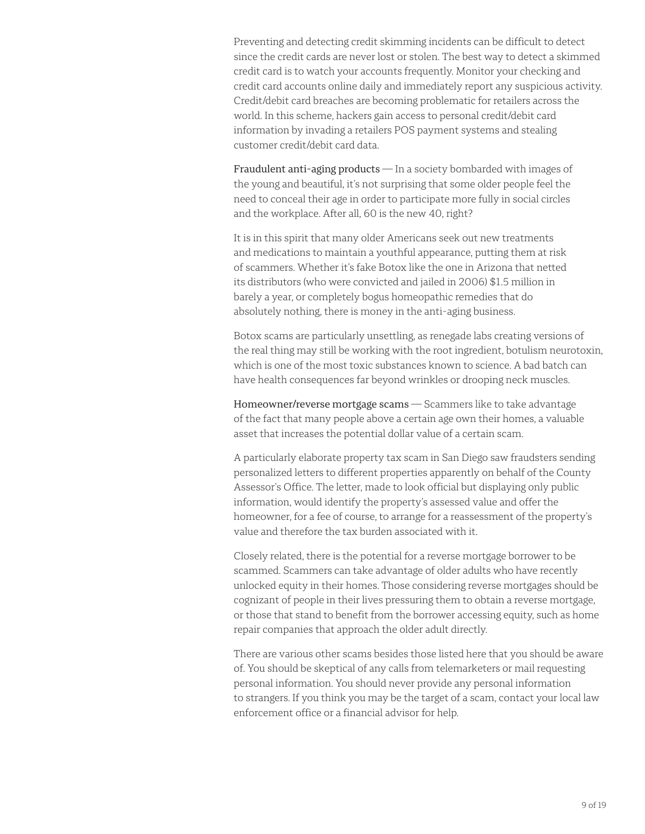Preventing and detecting credit skimming incidents can be difficult to detect since the credit cards are never lost or stolen. The best way to detect a skimmed credit card is to watch your accounts frequently. Monitor your checking and credit card accounts online daily and immediately report any suspicious activity. Credit/debit card breaches are becoming problematic for retailers across the world. In this scheme, hackers gain access to personal credit/debit card information by invading a retailers POS payment systems and stealing customer credit/debit card data.

Fraudulent anti-aging products  $-$  In a society bombarded with images of the young and beautiful, it's not surprising that some older people feel the need to conceal their age in order to participate more fully in social circles and the workplace. After all, 60 is the new 40, right?

It is in this spirit that many older Americans seek out new treatments and medications to maintain a youthful appearance, putting them at risk of scammers. Whether it's fake Botox like the one in Arizona that netted its distributors (who were convicted and jailed in 2006) \$1.5 million in barely a year, or completely bogus homeopathic remedies that do absolutely nothing, there is money in the anti-aging business.

Botox scams are particularly unsettling, as renegade labs creating versions of the real thing may still be working with the root ingredient, botulism neurotoxin, which is one of the most toxic substances known to science. A bad batch can have health consequences far beyond wrinkles or drooping neck muscles.

Homeowner/reverse mortgage scams - Scammers like to take advantage of the fact that many people above a certain age own their homes, a valuable asset that increases the potential dollar value of a certain scam.

A particularly elaborate property tax scam in San Diego saw fraudsters sending personalized letters to different properties apparently on behalf of the County Assessor's Office. The letter, made to look official but displaying only public information, would identify the property's assessed value and offer the homeowner, for a fee of course, to arrange for a reassessment of the property's value and therefore the tax burden associated with it.

Closely related, there is the potential for a reverse mortgage borrower to be scammed. Scammers can take advantage of older adults who have recently unlocked equity in their homes. Those considering reverse mortgages should be cognizant of people in their lives pressuring them to obtain a reverse mortgage, or those that stand to benefit from the borrower accessing equity, such as home repair companies that approach the older adult directly.

There are various other scams besides those listed here that you should be aware of. You should be skeptical of any calls from telemarketers or mail requesting personal information. You should never provide any personal information to strangers. If you think you may be the target of a scam, contact your local law enforcement office or a financial advisor for help.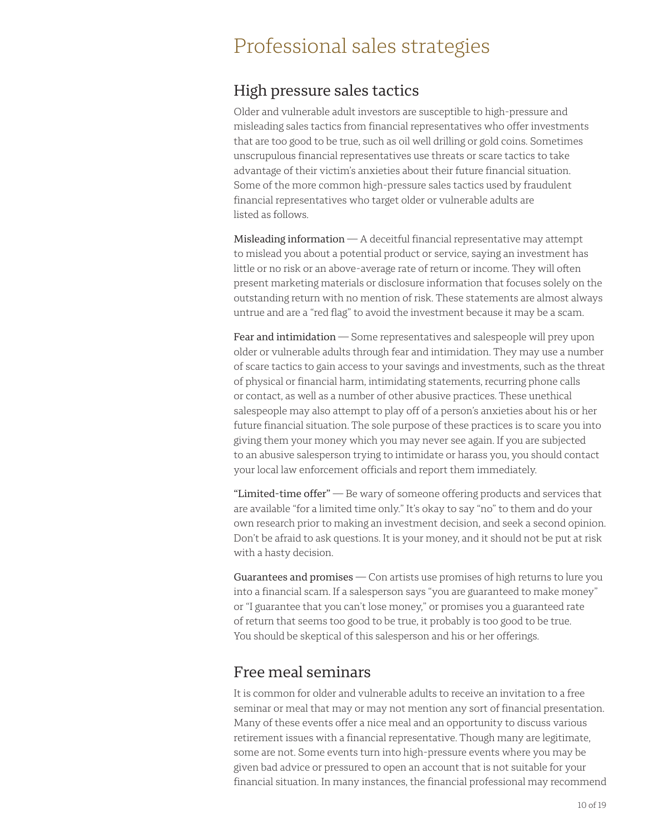### Professional sales strategies

#### High pressure sales tactics

Older and vulnerable adult investors are susceptible to high-pressure and misleading sales tactics from financial representatives who offer investments that are too good to be true, such as oil well drilling or gold coins. Sometimes unscrupulous financial representatives use threats or scare tactics to take advantage of their victim's anxieties about their future financial situation. Some of the more common high-pressure sales tactics used by fraudulent financial representatives who target older or vulnerable adults are listed as follows.

Misleading information — A deceitful financial representative may attempt to mislead you about a potential product or service, saying an investment has little or no risk or an above-average rate of return or income. They will often present marketing materials or disclosure information that focuses solely on the outstanding return with no mention of risk. These statements are almost always untrue and are a "red flag" to avoid the investment because it may be a scam.

Fear and intimidation — Some representatives and salespeople will prey upon older or vulnerable adults through fear and intimidation. They may use a number of scare tactics to gain access to your savings and investments, such as the threat of physical or financial harm, intimidating statements, recurring phone calls or contact, as well as a number of other abusive practices. These unethical salespeople may also attempt to play off of a person's anxieties about his or her future financial situation. The sole purpose of these practices is to scare you into giving them your money which you may never see again. If you are subjected to an abusive salesperson trying to intimidate or harass you, you should contact your local law enforcement officials and report them immediately.

"Limited-time offer" — Be wary of someone offering products and services that are available "for a limited time only." It's okay to say "no" to them and do your own research prior to making an investment decision, and seek a second opinion. Don't be afraid to ask questions. It is your money, and it should not be put at risk with a hasty decision.

Guarantees and promises – Con artists use promises of high returns to lure you into a financial scam. If a salesperson says "you are guaranteed to make money" or "I guarantee that you can't lose money," or promises you a guaranteed rate of return that seems too good to be true, it probably is too good to be true. You should be skeptical of this salesperson and his or her offerings.

#### Free meal seminars

It is common for older and vulnerable adults to receive an invitation to a free seminar or meal that may or may not mention any sort of financial presentation. Many of these events offer a nice meal and an opportunity to discuss various retirement issues with a financial representative. Though many are legitimate, some are not. Some events turn into high-pressure events where you may be given bad advice or pressured to open an account that is not suitable for your financial situation. In many instances, the financial professional may recommend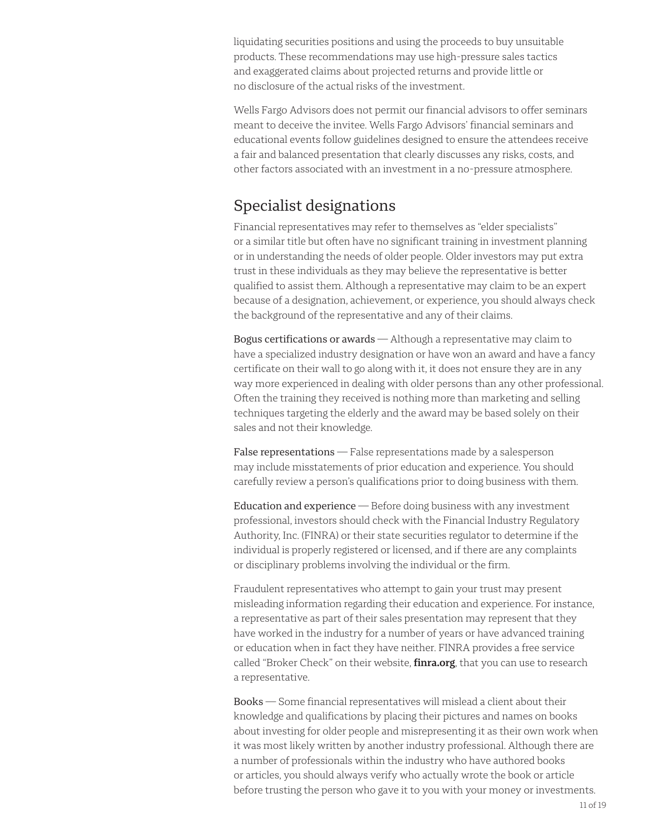liquidating securities positions and using the proceeds to buy unsuitable products. These recommendations may use high-pressure sales tactics and exaggerated claims about projected returns and provide little or no disclosure of the actual risks of the investment.

Wells Fargo Advisors does not permit our financial advisors to offer seminars meant to deceive the invitee. Wells Fargo Advisors' financial seminars and educational events follow guidelines designed to ensure the attendees receive a fair and balanced presentation that clearly discusses any risks, costs, and other factors associated with an investment in a no-pressure atmosphere.

#### Specialist designations

Financial representatives may refer to themselves as "elder specialists" or a similar title but often have no significant training in investment planning or in understanding the needs of older people. Older investors may put extra trust in these individuals as they may believe the representative is better qualified to assist them. Although a representative may claim to be an expert because of a designation, achievement, or experience, you should always check the background of the representative and any of their claims.

Bogus certifications or awards — Although a representative may claim to have a specialized industry designation or have won an award and have a fancy certificate on their wall to go along with it, it does not ensure they are in any way more experienced in dealing with older persons than any other professional. Often the training they received is nothing more than marketing and selling techniques targeting the elderly and the award may be based solely on their sales and not their knowledge.

False representations - False representations made by a salesperson may include misstatements of prior education and experience. You should carefully review a person's qualifications prior to doing business with them.

Education and experience — Before doing business with any investment professional, investors should check with the Financial Industry Regulatory Authority, Inc. (FINRA) or their state securities regulator to determine if the individual is properly registered or licensed, and if there are any complaints or disciplinary problems involving the individual or the firm.

Fraudulent representatives who attempt to gain your trust may present misleading information regarding their education and experience. For instance, a representative as part of their sales presentation may represent that they have worked in the industry for a number of years or have advanced training or education when in fact they have neither. FINRA provides a free service called "Broker Check" on their website, **[finra.org](https://finra.org)**, that you can use to research a representative.

Books — Some financial representatives will mislead a client about their knowledge and qualifications by placing their pictures and names on books about investing for older people and misrepresenting it as their own work when it was most likely written by another industry professional. Although there are a number of professionals within the industry who have authored books or articles, you should always verify who actually wrote the book or article before trusting the person who gave it to you with your money or investments.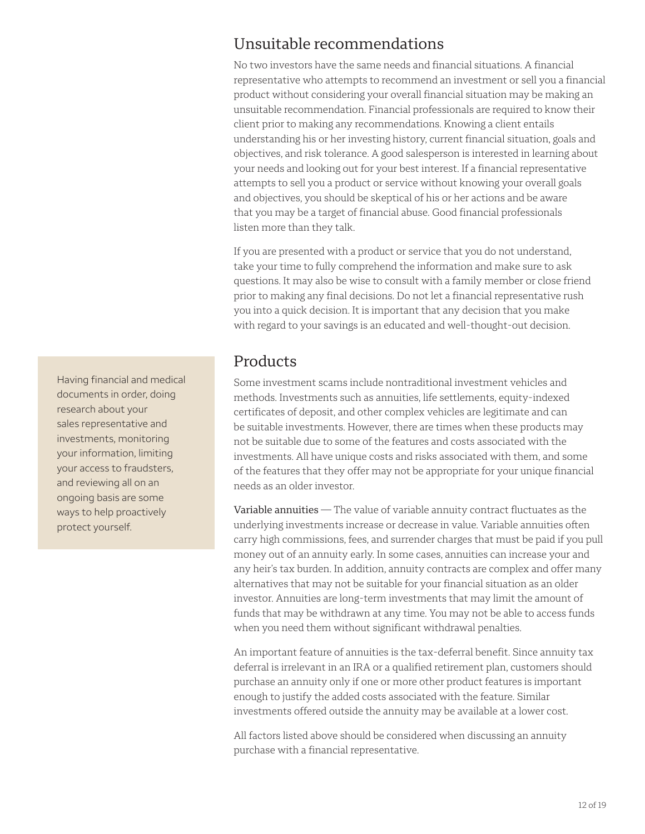### Unsuitable recommendations

No two investors have the same needs and financial situations. A financial representative who attempts to recommend an investment or sell you a financial product without considering your overall financial situation may be making an unsuitable recommendation. Financial professionals are required to know their client prior to making any recommendations. Knowing a client entails understanding his or her investing history, current financial situation, goals and objectives, and risk tolerance. A good salesperson is interested in learning about your needs and looking out for your best interest. If a financial representative attempts to sell you a product or service without knowing your overall goals and objectives, you should be skeptical of his or her actions and be aware that you may be a target of financial abuse. Good financial professionals listen more than they talk.

If you are presented with a product or service that you do not understand, take your time to fully comprehend the information and make sure to ask questions. It may also be wise to consult with a family member or close friend prior to making any final decisions. Do not let a financial representative rush you into a quick decision. It is important that any decision that you make with regard to your savings is an educated and well-thought-out decision.

#### **Products**

Some investment scams include nontraditional investment vehicles and methods. Investments such as annuities, life settlements, equity-indexed certificates of deposit, and other complex vehicles are legitimate and can be suitable investments. However, there are times when these products may not be suitable due to some of the features and costs associated with the investments. All have unique costs and risks associated with them, and some of the features that they offer may not be appropriate for your unique financial needs as an older investor.

Variable annuities - The value of variable annuity contract fluctuates as the underlying investments increase or decrease in value. Variable annuities often carry high commissions, fees, and surrender charges that must be paid if you pull money out of an annuity early. In some cases, annuities can increase your and any heir's tax burden. In addition, annuity contracts are complex and offer many alternatives that may not be suitable for your financial situation as an older investor. Annuities are long-term investments that may limit the amount of funds that may be withdrawn at any time. You may not be able to access funds when you need them without significant withdrawal penalties.

An important feature of annuities is the tax-deferral benefit. Since annuity tax deferral is irrelevant in an IRA or a qualified retirement plan, customers should purchase an annuity only if one or more other product features is important enough to justify the added costs associated with the feature. Similar investments offered outside the annuity may be available at a lower cost.

All factors listed above should be considered when discussing an annuity purchase with a financial representative.

Having financial and medical documents in order, doing research about your sales representative and investments, monitoring your information, limiting your access to fraudsters, and reviewing all on an ongoing basis are some ways to help proactively protect yourself.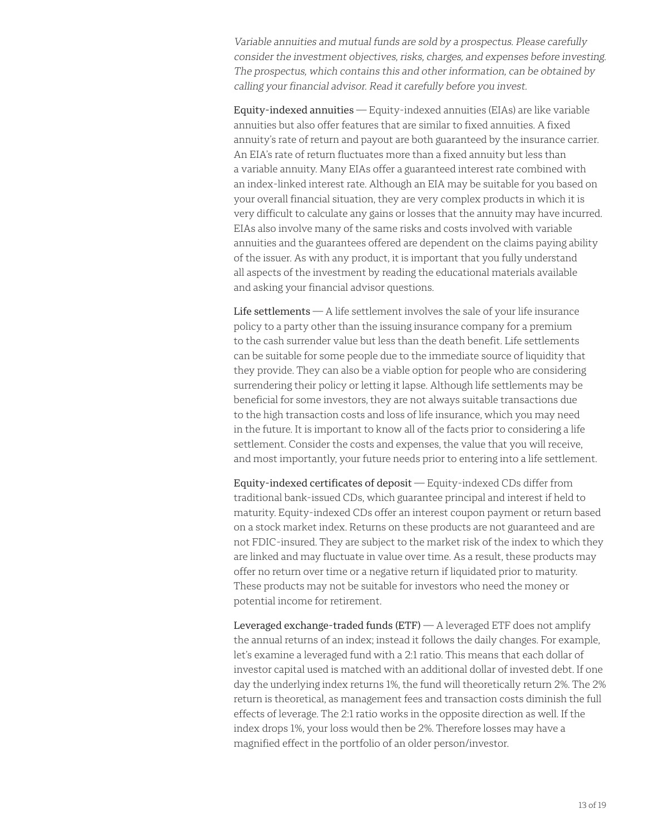Variable annuities and mutual funds are sold by a prospectus. Please carefully consider the investment objectives, risks, charges, and expenses before investing. The prospectus, which contains this and other information, can be obtained by calling your financial advisor. Read it carefully before you invest.

Equity-indexed annuities — Equity-indexed annuities (EIAs) are like variable annuities but also offer features that are similar to fixed annuities. A fixed annuity's rate of return and payout are both guaranteed by the insurance carrier. An EIA's rate of return fluctuates more than a fixed annuity but less than a variable annuity. Many EIAs offer a guaranteed interest rate combined with an index-linked interest rate. Although an EIA may be suitable for you based on your overall financial situation, they are very complex products in which it is very difficult to calculate any gains or losses that the annuity may have incurred. EIAs also involve many of the same risks and costs involved with variable annuities and the guarantees offered are dependent on the claims paying ability of the issuer. As with any product, it is important that you fully understand all aspects of the investment by reading the educational materials available and asking your financial advisor questions.

Life settlements — A life settlement involves the sale of your life insurance policy to a party other than the issuing insurance company for a premium to the cash surrender value but less than the death benefit. Life settlements can be suitable for some people due to the immediate source of liquidity that they provide. They can also be a viable option for people who are considering surrendering their policy or letting it lapse. Although life settlements may be beneficial for some investors, they are not always suitable transactions due to the high transaction costs and loss of life insurance, which you may need in the future. It is important to know all of the facts prior to considering a life settlement. Consider the costs and expenses, the value that you will receive, and most importantly, your future needs prior to entering into a life settlement.

Equity-indexed certificates of deposit — Equity-indexed CDs differ from traditional bank-issued CDs, which guarantee principal and interest if held to maturity. Equity-indexed CDs offer an interest coupon payment or return based on a stock market index. Returns on these products are not guaranteed and are not FDIC-insured. They are subject to the market risk of the index to which they are linked and may fluctuate in value over time. As a result, these products may offer no return over time or a negative return if liquidated prior to maturity. These products may not be suitable for investors who need the money or potential income for retirement.

Leveraged exchange-traded funds  $(ETF)$   $\rightarrow$  A leveraged ETF does not amplify the annual returns of an index; instead it follows the daily changes. For example, let's examine a leveraged fund with a 2:1 ratio. This means that each dollar of investor capital used is matched with an additional dollar of invested debt. If one day the underlying index returns 1%, the fund will theoretically return 2%. The 2% return is theoretical, as management fees and transaction costs diminish the full effects of leverage. The 2:1 ratio works in the opposite direction as well. If the index drops 1%, your loss would then be 2%. Therefore losses may have a magnified effect in the portfolio of an older person/investor.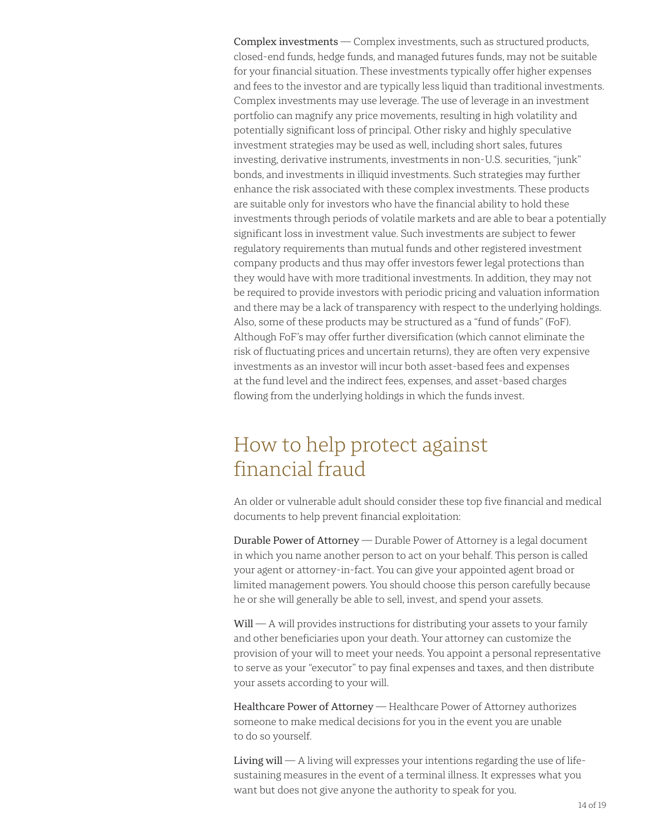Complex investments — Complex investments, such as structured products, closed-end funds, hedge funds, and managed futures funds, may not be suitable for your financial situation. These investments typically offer higher expenses and fees to the investor and are typically less liquid than traditional investments. Complex investments may use leverage. The use of leverage in an investment portfolio can magnify any price movements, resulting in high volatility and potentially significant loss of principal. Other risky and highly speculative investment strategies may be used as well, including short sales, futures investing, derivative instruments, investments in non-U.S. securities, "junk" bonds, and investments in illiquid investments. Such strategies may further enhance the risk associated with these complex investments. These products are suitable only for investors who have the financial ability to hold these investments through periods of volatile markets and are able to bear a potentially significant loss in investment value. Such investments are subject to fewer regulatory requirements than mutual funds and other registered investment company products and thus may offer investors fewer legal protections than they would have with more traditional investments. In addition, they may not be required to provide investors with periodic pricing and valuation information and there may be a lack of transparency with respect to the underlying holdings. Also, some of these products may be structured as a "fund of funds" (FoF). Although FoF's may offer further diversification (which cannot eliminate the risk of fluctuating prices and uncertain returns), they are often very expensive investments as an investor will incur both asset-based fees and expenses at the fund level and the indirect fees, expenses, and asset-based charges flowing from the underlying holdings in which the funds invest.

### How to help protect against financial fraud

An older or vulnerable adult should consider these top five financial and medical documents to help prevent financial exploitation:

Durable Power of Attorney — Durable Power of Attorney is a legal document in which you name another person to act on your behalf. This person is called your agent or attorney-in-fact. You can give your appointed agent broad or limited management powers. You should choose this person carefully because he or she will generally be able to sell, invest, and spend your assets.

 $Will - A$  will provides instructions for distributing your assets to your family and other beneficiaries upon your death. Your attorney can customize the provision of your will to meet your needs. You appoint a personal representative to serve as your "executor" to pay final expenses and taxes, and then distribute your assets according to your will.

Healthcare Power of Attorney — Healthcare Power of Attorney authorizes someone to make medical decisions for you in the event you are unable to do so yourself.

Living will  $-$  A living will expresses your intentions regarding the use of lifesustaining measures in the event of a terminal illness. It expresses what you want but does not give anyone the authority to speak for you.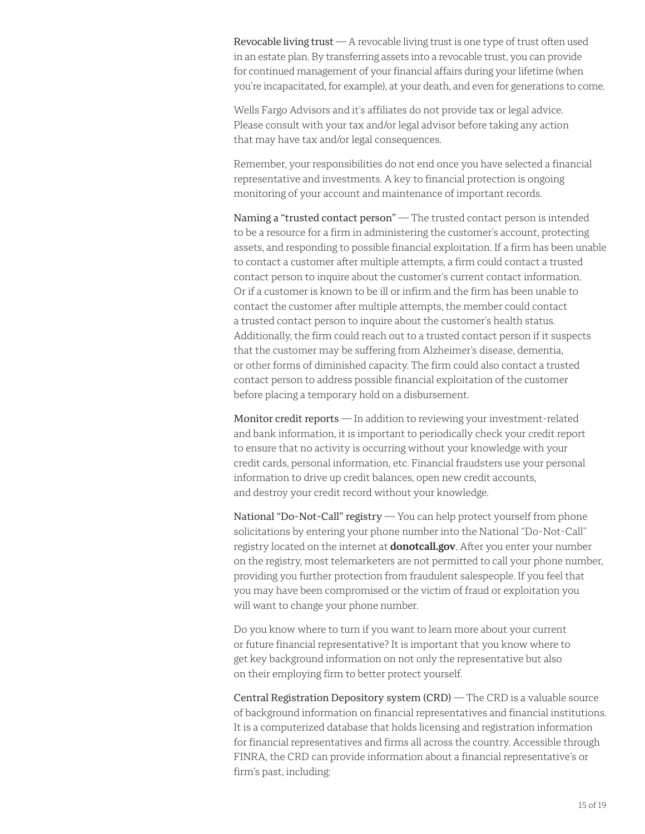Revocable living trust  $-$  A revocable living trust is one type of trust often used in an estate plan. By transferring assets into a revocable trust, you can provide for continued management of your financial affairs during your lifetime (when you're incapacitated, for example), at your death, and even for generations to come.

Wells Fargo Advisors and it's affiliates do not provide tax or legal advice. Please consult with your tax and/or legal advisor before taking any action that may have tax and/or legal consequences.

Remember, your responsibilities do not end once you have selected a financial representative and investments. A key to financial protection is ongoing monitoring of your account and maintenance of important records.

Naming a "trusted contact person" — The trusted contact person is intended to be a resource for a firm in administering the customer's account, protecting assets, and responding to possible financial exploitation. If a firm has been unable to contact a customer after multiple attempts, a firm could contact a trusted contact person to inquire about the customer's current contact information. Or if a customer is known to be ill or infirm and the firm has been unable to contact the customer after multiple attempts, the member could contact a trusted contact person to inquire about the customer's health status. Additionally, the firm could reach out to a trusted contact person if it suspects that the customer may be suffering from Alzheimer's disease, dementia, or other forms of diminished capacity. The firm could also contact a trusted contact person to address possible financial exploitation of the customer before placing a temporary hold on a disbursement.

Monitor credit reports — In addition to reviewing your investment-related and bank information, it is important to periodically check your credit report to ensure that no activity is occurring without your knowledge with your credit cards, personal information, etc. Financial fraudsters use your personal information to drive up credit balances, open new credit accounts, and destroy your credit record without your knowledge.

National "Do-Not-Call" registry — You can help protect yourself from phone solicitations by entering your phone number into the National "Do-Not-Call" registry located on the internet at **[donotcall.gov](https://donotcall.gov)**. After you enter your number on the registry, most telemarketers are not permitted to call your phone number, providing you further protection from fraudulent salespeople. If you feel that you may have been compromised or the victim of fraud or exploitation you will want to change your phone number.

Do you know where to turn if you want to learn more about your current or future financial representative? It is important that you know where to get key background information on not only the representative but also on their employing firm to better protect yourself.

Central Registration Depository system (CRD) — The CRD is a valuable source of background information on financial representatives and financial institutions. It is a computerized database that holds licensing and registration information for financial representatives and firms all across the country. Accessible through FINRA, the CRD can provide information about a financial representative's or firm's past, including: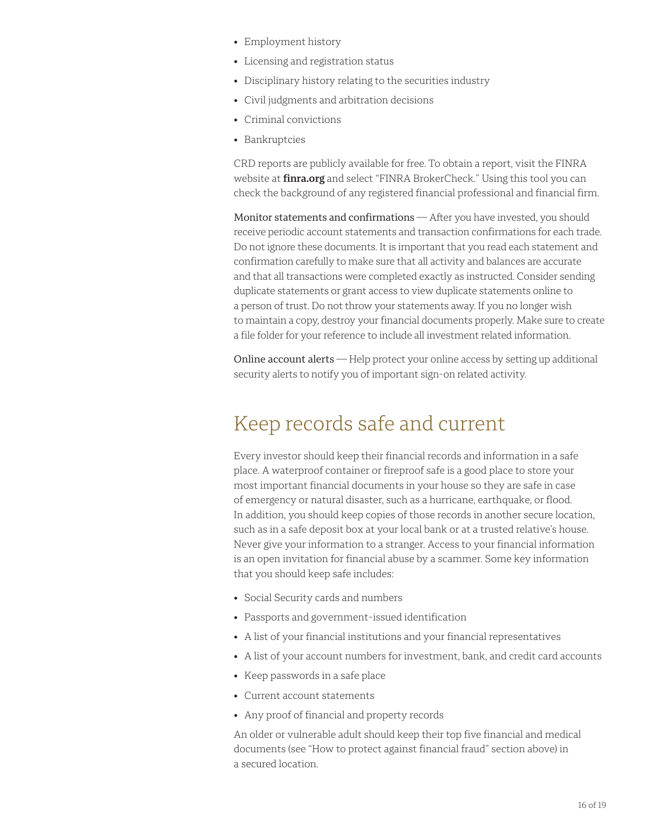- Employment history
- Licensing and registration status
- Disciplinary history relating to the securities industry
- Civil judgments and arbitration decisions
- Criminal convictions
- Bankruptcies

CRD reports are publicly available for free. To obtain a report, visit the FINRA website at **[finra.org](https://finra.org)** and select "FINRA BrokerCheck." Using this tool you can check the background of any registered financial professional and financial firm.

Monitor statements and confirmations - After you have invested, you should receive periodic account statements and transaction confirmations for each trade. Do not ignore these documents. It is important that you read each statement and confirmation carefully to make sure that all activity and balances are accurate and that all transactions were completed exactly as instructed. Consider sending duplicate statements or grant access to view duplicate statements online to a person of trust. Do not throw your statements away. If you no longer wish to maintain a copy, destroy your financial documents properly. Make sure to create a file folder for your reference to include all investment related information.

Online account alerts — Help protect your online access by setting up additional security alerts to notify you of important sign-on related activity.

# Keep records safe and current

Every investor should keep their financial records and information in a safe place. A waterproof container or fireproof safe is a good place to store your most important financial documents in your house so they are safe in case of emergency or natural disaster, such as a hurricane, earthquake, or flood. In addition, you should keep copies of those records in another secure location, such as in a safe deposit box at your local bank or at a trusted relative's house. Never give your information to a stranger. Access to your financial information is an open invitation for financial abuse by a scammer. Some key information that you should keep safe includes:

- Social Security cards and numbers
- Passports and government-issued identification
- A list of your financial institutions and your financial representatives
- A list of your account numbers for investment, bank, and credit card accounts
- Keep passwords in a safe place
- Current account statements
- Any proof of financial and property records

An older or vulnerable adult should keep their top five financial and medical documents (see "How to protect against financial fraud" section above) in a secured location.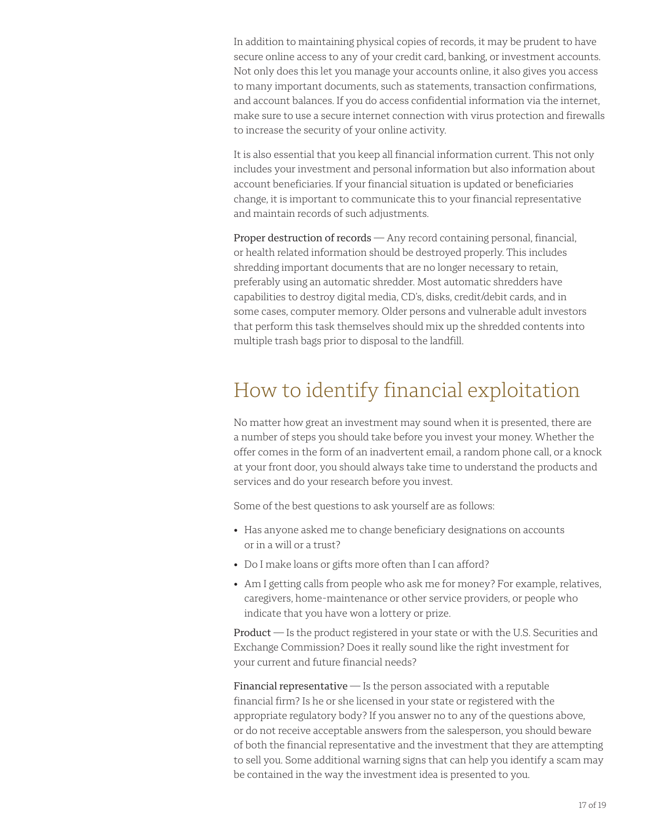In addition to maintaining physical copies of records, it may be prudent to have secure online access to any of your credit card, banking, or investment accounts. Not only does this let you manage your accounts online, it also gives you access to many important documents, such as statements, transaction confirmations, and account balances. If you do access confidential information via the internet, make sure to use a secure internet connection with virus protection and firewalls to increase the security of your online activity.

It is also essential that you keep all financial information current. This not only includes your investment and personal information but also information about account beneficiaries. If your financial situation is updated or beneficiaries change, it is important to communicate this to your financial representative and maintain records of such adjustments.

Proper destruction of records - Any record containing personal, financial, or health related information should be destroyed properly. This includes shredding important documents that are no longer necessary to retain, preferably using an automatic shredder. Most automatic shredders have capabilities to destroy digital media, CD's, disks, credit/debit cards, and in some cases, computer memory. Older persons and vulnerable adult investors that perform this task themselves should mix up the shredded contents into multiple trash bags prior to disposal to the landfill.

### How to identify financial exploitation

No matter how great an investment may sound when it is presented, there are a number of steps you should take before you invest your money. Whether the offer comes in the form of an inadvertent email, a random phone call, or a knock at your front door, you should always take time to understand the products and services and do your research before you invest.

Some of the best questions to ask yourself are as follows:

- Has anyone asked me to change beneficiary designations on accounts or in a will or a trust?
- Do I make loans or gifts more often than I can afford?
- Am I getting calls from people who ask me for money? For example, relatives, caregivers, home-maintenance or other service providers, or people who indicate that you have won a lottery or prize.

Product — Is the product registered in your state or with the U.S. Securities and Exchange Commission? Does it really sound like the right investment for your current and future financial needs?

Financial representative  $-$  Is the person associated with a reputable financial firm? Is he or she licensed in your state or registered with the appropriate regulatory body? If you answer no to any of the questions above, or do not receive acceptable answers from the salesperson, you should beware of both the financial representative and the investment that they are attempting to sell you. Some additional warning signs that can help you identify a scam may be contained in the way the investment idea is presented to you.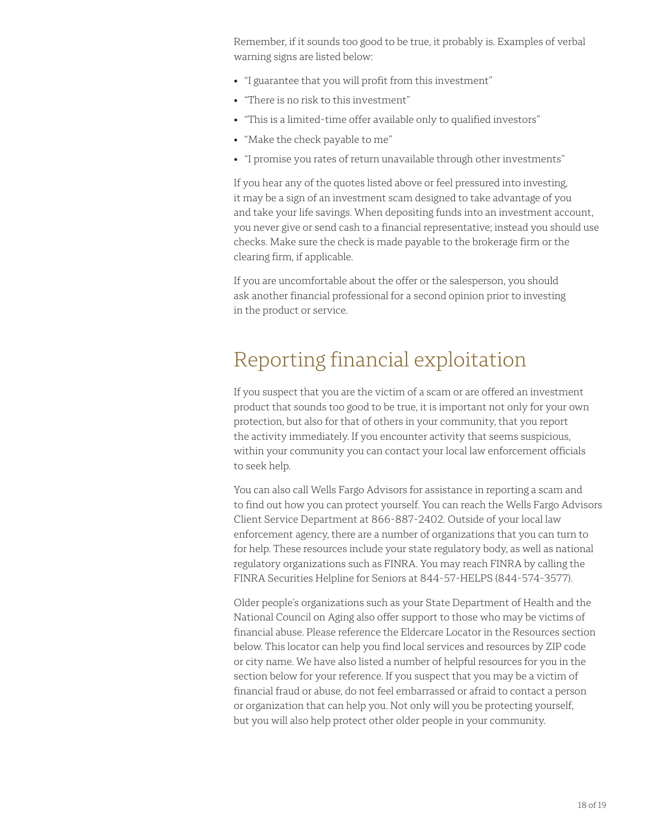Remember, if it sounds too good to be true, it probably is. Examples of verbal warning signs are listed below:

- "I guarantee that you will profit from this investment"
- "There is no risk to this investment"
- "This is a limited-time offer available only to qualified investors"
- "Make the check payable to me"
- "I promise you rates of return unavailable through other investments"

If you hear any of the quotes listed above or feel pressured into investing, it may be a sign of an investment scam designed to take advantage of you and take your life savings. When depositing funds into an investment account, you never give or send cash to a financial representative; instead you should use checks. Make sure the check is made payable to the brokerage firm or the clearing firm, if applicable.

If you are uncomfortable about the offer or the salesperson, you should ask another financial professional for a second opinion prior to investing in the product or service.

### Reporting financial exploitation

If you suspect that you are the victim of a scam or are offered an investment product that sounds too good to be true, it is important not only for your own protection, but also for that of others in your community, that you report the activity immediately. If you encounter activity that seems suspicious, within your community you can contact your local law enforcement officials to seek help.

You can also call Wells Fargo Advisors for assistance in reporting a scam and to find out how you can protect yourself. You can reach the Wells Fargo Advisors Client Service Department at 866-887-2402. Outside of your local law enforcement agency, there are a number of organizations that you can turn to for help. These resources include your state regulatory body, as well as national regulatory organizations such as FINRA. You may reach FINRA by calling the FINRA Securities Helpline for Seniors at 844-57-HELPS (844-574-3577).

Older people's organizations such as your State Department of Health and the National Council on Aging also offer support to those who may be victims of financial abuse. Please reference the [Eldercare Locator](https://eldercare.acl.gov/) in the Resources section below. This locator can help you find local services and resources by ZIP code or city name. We have also listed a number of helpful resources for you in the section below for your reference. If you suspect that you may be a victim of financial fraud or abuse, do not feel embarrassed or afraid to contact a person or organization that can help you. Not only will you be protecting yourself, but you will also help protect other older people in your community.